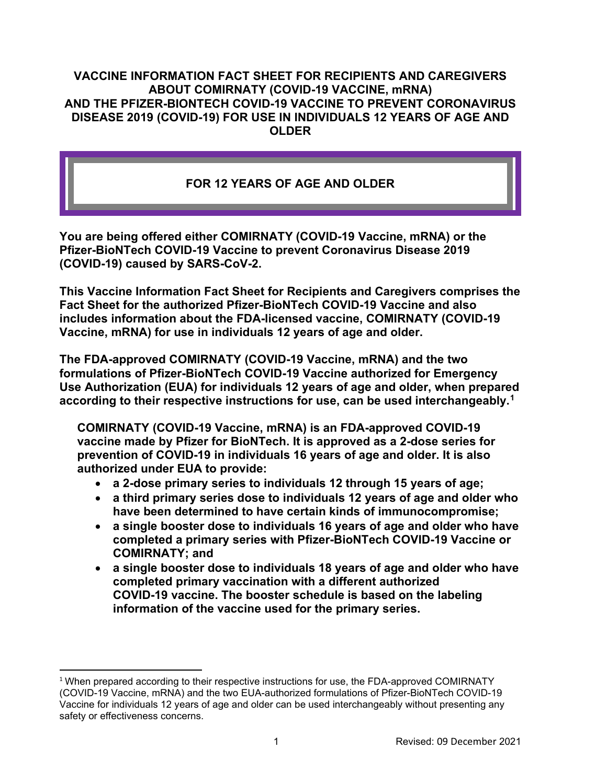#### **VACCINE INFORMATION FACT SHEET FOR RECIPIENTS AND CAREGIVERS ABOUT COMIRNATY (COVID-19 VACCINE, mRNA) AND THE PFIZER-BIONTECH COVID-19 VACCINE TO PREVENT CORONAVIRUS DISEASE 2019 (COVID-19) FOR USE IN INDIVIDUALS 12 YEARS OF AGE AND OLDER**

## **FOR 12 YEARS OF AGE AND OLDER**

**You are being offered either COMIRNATY (COVID-19 Vaccine, mRNA) or the Pfizer-BioNTech COVID-19 Vaccine to prevent Coronavirus Disease 2019 (COVID-19) caused by SARS-CoV-2.**

**This Vaccine Information Fact Sheet for Recipients and Caregivers comprises the Fact Sheet for the authorized Pfizer-BioNTech COVID-19 Vaccine and also includes information about the FDA-licensed vaccine, COMIRNATY (COVID-19 Vaccine, mRNA) for use in individuals 12 years of age and older.** 

**The FDA-approved COMIRNATY (COVID-19 Vaccine, mRNA) and the two formulations of Pfizer-BioNTech COVID-19 Vaccine authorized for Emergency Use Authorization (EUA) for individuals 12 years of age and older, when prepared according to their respective instructions for use, can be used interchangeably.[1](#page-0-0)**

**COMIRNATY (COVID-19 Vaccine, mRNA) is an FDA-approved COVID-19 vaccine made by Pfizer for BioNTech. It is approved as a 2-dose series for prevention of COVID-19 in individuals 16 years of age and older. It is also authorized under EUA to provide:**

- **a 2-dose primary series to individuals 12 through 15 years of age;**
- **a third primary series dose to individuals 12 years of age and older who have been determined to have certain kinds of immunocompromise;**
- **a single booster dose to individuals 16 years of age and older who have completed a primary series with Pfizer-BioNTech COVID-19 Vaccine or COMIRNATY; and**
- **a single booster dose to individuals 18 years of age and older who have completed primary vaccination with a different authorized COVID-19 vaccine. The booster schedule is based on the labeling information of the vaccine used for the primary series.**

<span id="page-0-0"></span><sup>&</sup>lt;sup>1</sup> When prepared according to their respective instructions for use, the FDA-approved COMIRNATY (COVID-19 Vaccine, mRNA) and the two EUA-authorized formulations of Pfizer-BioNTech COVID-19 Vaccine for individuals 12 years of age and older can be used interchangeably without presenting any safety or effectiveness concerns.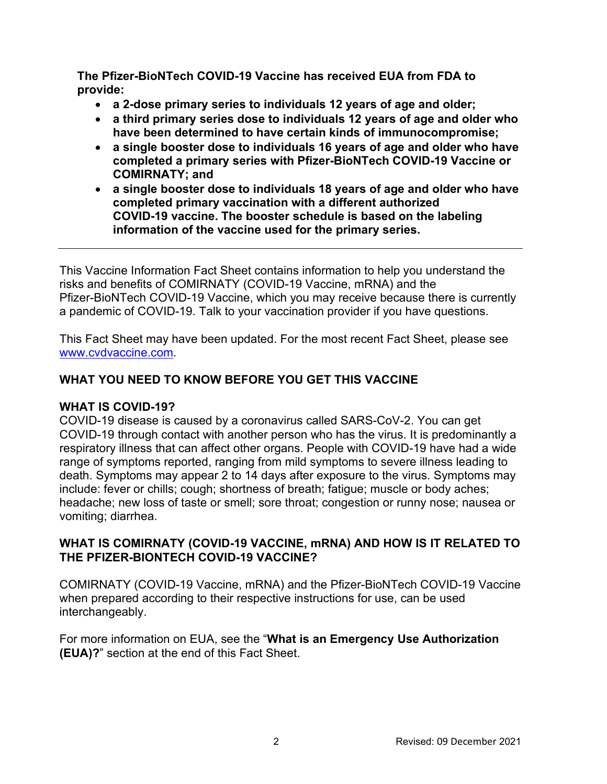**The Pfizer-BioNTech COVID-19 Vaccine has received EUA from FDA to provide:**

- **a 2-dose primary series to individuals 12 years of age and older;**
- **a third primary series dose to individuals 12 years of age and older who have been determined to have certain kinds of immunocompromise;**
- **a single booster dose to individuals 16 years of age and older who have completed a primary series with Pfizer-BioNTech COVID-19 Vaccine or COMIRNATY; and**
- **a single booster dose to individuals 18 years of age and older who have completed primary vaccination with a different authorized COVID-19 vaccine. The booster schedule is based on the labeling information of the vaccine used for the primary series.**

This Vaccine Information Fact Sheet contains information to help you understand the risks and benefits of COMIRNATY (COVID-19 Vaccine, mRNA) and the Pfizer-BioNTech COVID-19 Vaccine, which you may receive because there is currently a pandemic of COVID-19. Talk to your vaccination provider if you have questions.

This Fact Sheet may have been updated. For the most recent Fact Sheet, please see [www.cvdvaccine.com.](http://www.cvdvaccine.com/)

# **WHAT YOU NEED TO KNOW BEFORE YOU GET THIS VACCINE**

## **WHAT IS COVID-19?**

COVID-19 disease is caused by a coronavirus called SARS-CoV-2. You can get COVID-19 through contact with another person who has the virus. It is predominantly a respiratory illness that can affect other organs. People with COVID-19 have had a wide range of symptoms reported, ranging from mild symptoms to severe illness leading to death. Symptoms may appear 2 to 14 days after exposure to the virus. Symptoms may include: fever or chills; cough; shortness of breath; fatigue; muscle or body aches; headache; new loss of taste or smell; sore throat; congestion or runny nose; nausea or vomiting; diarrhea.

### **WHAT IS COMIRNATY (COVID-19 VACCINE, mRNA) AND HOW IS IT RELATED TO THE PFIZER-BIONTECH COVID-19 VACCINE?**

COMIRNATY (COVID-19 Vaccine, mRNA) and the Pfizer-BioNTech COVID-19 Vaccine when prepared according to their respective instructions for use, can be used interchangeably.

For more information on EUA, see the "**What is an Emergency Use Authorization (EUA)?**" section at the end of this Fact Sheet.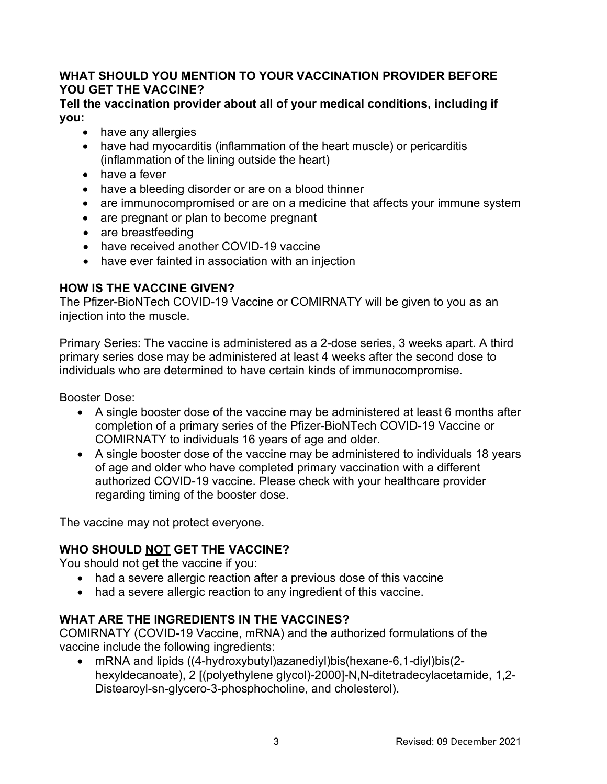## **WHAT SHOULD YOU MENTION TO YOUR VACCINATION PROVIDER BEFORE YOU GET THE VACCINE?**

#### **Tell the vaccination provider about all of your medical conditions, including if you:**

- have any allergies
- have had myocarditis (inflammation of the heart muscle) or pericarditis (inflammation of the lining outside the heart)
- have a fever
- have a bleeding disorder or are on a blood thinner
- are immunocompromised or are on a medicine that affects your immune system
- are pregnant or plan to become pregnant
- are breastfeeding
- have received another COVID-19 vaccine
- have ever fainted in association with an injection

# **HOW IS THE VACCINE GIVEN?**

The Pfizer-BioNTech COVID-19 Vaccine or COMIRNATY will be given to you as an injection into the muscle.

Primary Series: The vaccine is administered as a 2-dose series, 3 weeks apart. A third primary series dose may be administered at least 4 weeks after the second dose to individuals who are determined to have certain kinds of immunocompromise.

Booster Dose:

- A single booster dose of the vaccine may be administered at least 6 months after completion of a primary series of the Pfizer-BioNTech COVID-19 Vaccine or COMIRNATY to individuals 16 years of age and older.
- A single booster dose of the vaccine may be administered to individuals 18 years of age and older who have completed primary vaccination with a different authorized COVID-19 vaccine. Please check with your healthcare provider regarding timing of the booster dose.

The vaccine may not protect everyone.

# **WHO SHOULD NOT GET THE VACCINE?**

You should not get the vaccine if you:

- had a severe allergic reaction after a previous dose of this vaccine
- had a severe allergic reaction to any ingredient of this vaccine.

# **WHAT ARE THE INGREDIENTS IN THE VACCINES?**

COMIRNATY (COVID-19 Vaccine, mRNA) and the authorized formulations of the vaccine include the following ingredients:

• mRNA and lipids ((4-hydroxybutyl)azanediyl)bis(hexane-6,1-diyl)bis(2 hexyldecanoate), 2 [(polyethylene glycol)-2000]-N,N-ditetradecylacetamide, 1,2- Distearoyl-sn-glycero-3-phosphocholine, and cholesterol).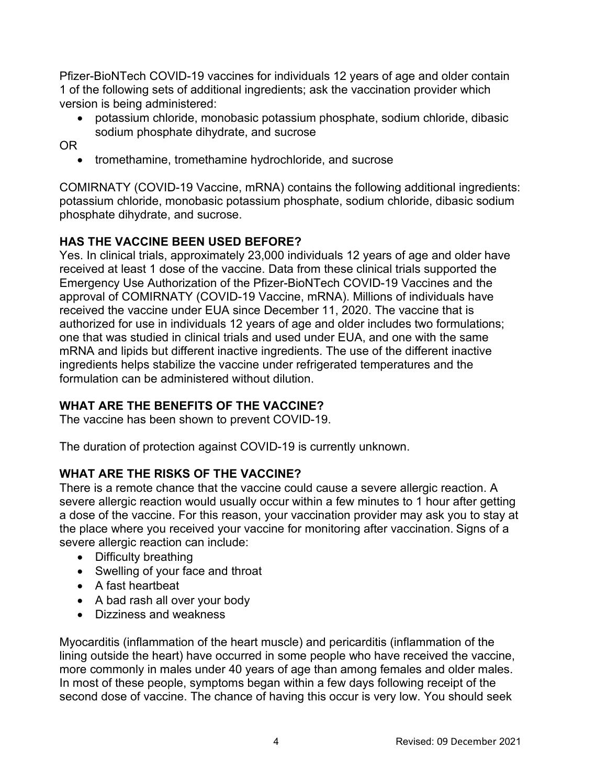Pfizer-BioNTech COVID-19 vaccines for individuals 12 years of age and older contain 1 of the following sets of additional ingredients; ask the vaccination provider which version is being administered:

• potassium chloride, monobasic potassium phosphate, sodium chloride, dibasic sodium phosphate dihydrate, and sucrose

OR

• tromethamine, tromethamine hydrochloride, and sucrose

COMIRNATY (COVID-19 Vaccine, mRNA) contains the following additional ingredients: potassium chloride, monobasic potassium phosphate, sodium chloride, dibasic sodium phosphate dihydrate, and sucrose.

# **HAS THE VACCINE BEEN USED BEFORE?**

Yes. In clinical trials, approximately 23,000 individuals 12 years of age and older have received at least 1 dose of the vaccine. Data from these clinical trials supported the Emergency Use Authorization of the Pfizer-BioNTech COVID-19 Vaccines and the approval of COMIRNATY (COVID-19 Vaccine, mRNA). Millions of individuals have received the vaccine under EUA since December 11, 2020. The vaccine that is authorized for use in individuals 12 years of age and older includes two formulations; one that was studied in clinical trials and used under EUA, and one with the same mRNA and lipids but different inactive ingredients. The use of the different inactive ingredients helps stabilize the vaccine under refrigerated temperatures and the formulation can be administered without dilution.

## **WHAT ARE THE BENEFITS OF THE VACCINE?**

The vaccine has been shown to prevent COVID-19.

The duration of protection against COVID-19 is currently unknown.

## **WHAT ARE THE RISKS OF THE VACCINE?**

There is a remote chance that the vaccine could cause a severe allergic reaction. A severe allergic reaction would usually occur within a few minutes to 1 hour after getting a dose of the vaccine. For this reason, your vaccination provider may ask you to stay at the place where you received your vaccine for monitoring after vaccination. Signs of a severe allergic reaction can include:

- Difficulty breathing
- Swelling of your face and throat
- A fast heartbeat
- A bad rash all over your body
- Dizziness and weakness

Myocarditis (inflammation of the heart muscle) and pericarditis (inflammation of the lining outside the heart) have occurred in some people who have received the vaccine, more commonly in males under 40 years of age than among females and older males. In most of these people, symptoms began within a few days following receipt of the second dose of vaccine. The chance of having this occur is very low. You should seek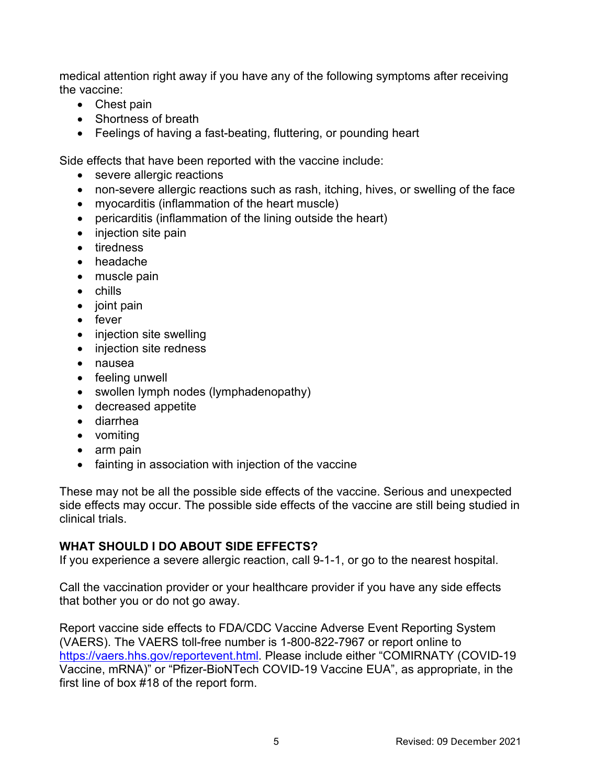medical attention right away if you have any of the following symptoms after receiving the vaccine:

- Chest pain
- Shortness of breath
- Feelings of having a fast-beating, fluttering, or pounding heart

Side effects that have been reported with the vaccine include:

- severe allergic reactions
- non-severe allergic reactions such as rash, itching, hives, or swelling of the face
- myocarditis (inflammation of the heart muscle)
- pericarditis (inflammation of the lining outside the heart)
- injection site pain
- tiredness
- headache
- muscle pain
- chills
- joint pain
- fever
- injection site swelling
- injection site redness
- nausea
- feeling unwell
- swollen lymph nodes (lymphadenopathy)
- decreased appetite
- diarrhea
- vomiting
- arm pain
- fainting in association with injection of the vaccine

These may not be all the possible side effects of the vaccine. Serious and unexpected side effects may occur. The possible side effects of the vaccine are still being studied in clinical trials.

## **WHAT SHOULD I DO ABOUT SIDE EFFECTS?**

If you experience a severe allergic reaction, call 9-1-1, or go to the nearest hospital.

Call the vaccination provider or your healthcare provider if you have any side effects that bother you or do not go away.

Report vaccine side effects to FDA/CDC Vaccine Adverse Event Reporting System (VAERS). The VAERS toll-free number is 1-800-822-7967 or report online to [https://vaers.hhs.gov/reportevent.html.](https://vaers.hhs.gov/reportevent.html) Please include either "COMIRNATY (COVID-19 Vaccine, mRNA)" or "Pfizer-BioNTech COVID-19 Vaccine EUA", as appropriate, in the first line of box #18 of the report form.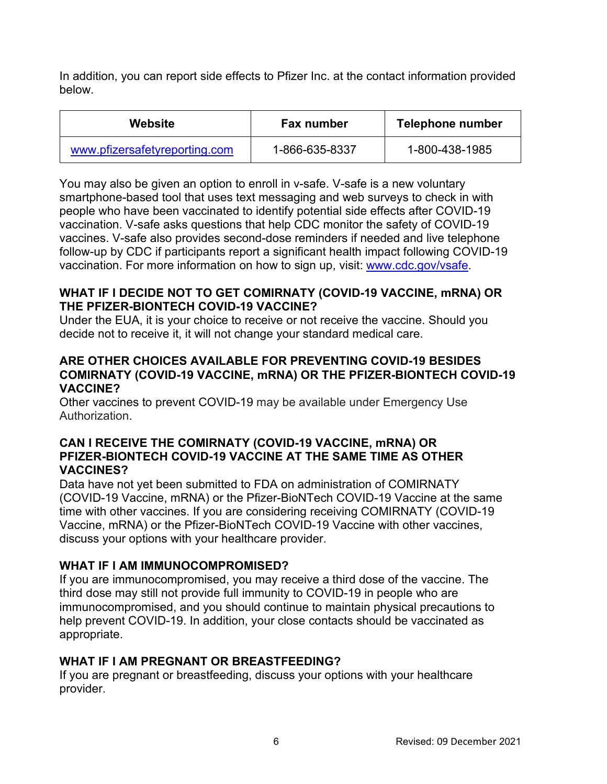In addition, you can report side effects to Pfizer Inc. at the contact information provided below.

| Website                       | <b>Fax number</b> | Telephone number |
|-------------------------------|-------------------|------------------|
| www.pfizersafetyreporting.com | 1-866-635-8337    | 1-800-438-1985   |

You may also be given an option to enroll in v-safe. V-safe is a new voluntary smartphone-based tool that uses text messaging and web surveys to check in with people who have been vaccinated to identify potential side effects after COVID-19 vaccination. V-safe asks questions that help CDC monitor the safety of COVID-19 vaccines. V-safe also provides second-dose reminders if needed and live telephone follow-up by CDC if participants report a significant health impact following COVID-19 vaccination. For more information on how to sign up, visit: [www.cdc.gov/vsafe.](https://urldefense.proofpoint.com/v2/url?u=http-3A__www.cdc.gov_vsafe&d=DwMF-g&c=UE1eNsedaKncO0Yl_u8bfw&r=iggimxFo1bnCoTNHtFHht7zBjWLmMD5xyYOHusHEMRA&m=NUusRcDWxrAYwskpVPikFjIp1YMB1upPlqmEqHLqywo&s=ZgZDg3kpZyGQV82QCF-MKAMdQ9UDWQqf3K-6eMVizRE&e=)

#### **WHAT IF I DECIDE NOT TO GET COMIRNATY (COVID-19 VACCINE, mRNA) OR THE PFIZER-BIONTECH COVID-19 VACCINE?**

Under the EUA, it is your choice to receive or not receive the vaccine. Should you decide not to receive it, it will not change your standard medical care.

### **ARE OTHER CHOICES AVAILABLE FOR PREVENTING COVID-19 BESIDES COMIRNATY (COVID-19 VACCINE, mRNA) OR THE PFIZER-BIONTECH COVID-19 VACCINE?**

Other vaccines to prevent COVID-19 may be available under Emergency Use Authorization.

#### **CAN I RECEIVE THE COMIRNATY (COVID-19 VACCINE, mRNA) OR PFIZER-BIONTECH COVID-19 VACCINE AT THE SAME TIME AS OTHER VACCINES?**

Data have not yet been submitted to FDA on administration of COMIRNATY (COVID-19 Vaccine, mRNA) or the Pfizer-BioNTech COVID-19 Vaccine at the same time with other vaccines. If you are considering receiving COMIRNATY (COVID-19 Vaccine, mRNA) or the Pfizer-BioNTech COVID-19 Vaccine with other vaccines, discuss your options with your healthcare provider.

## **WHAT IF I AM IMMUNOCOMPROMISED?**

If you are immunocompromised, you may receive a third dose of the vaccine. The third dose may still not provide full immunity to COVID-19 in people who are immunocompromised, and you should continue to maintain physical precautions to help prevent COVID-19. In addition, your close contacts should be vaccinated as appropriate.

## **WHAT IF I AM PREGNANT OR BREASTFEEDING?**

If you are pregnant or breastfeeding, discuss your options with your healthcare provider.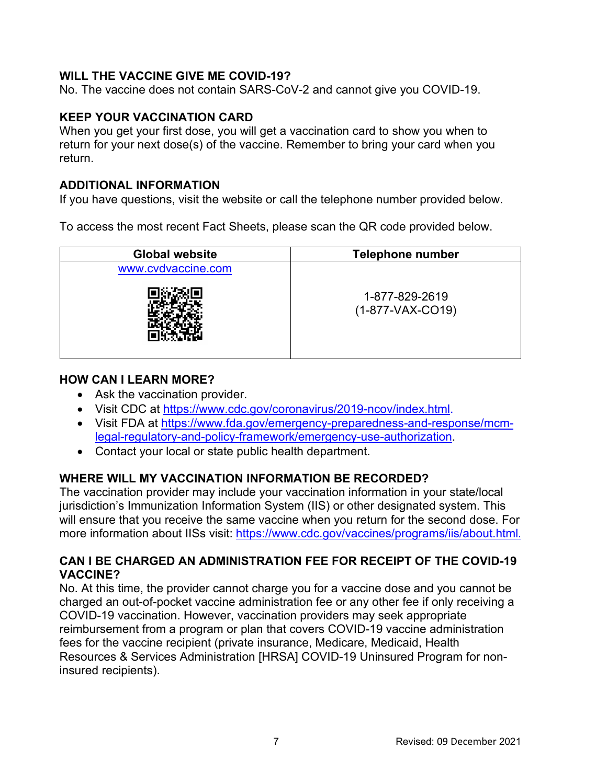## **WILL THE VACCINE GIVE ME COVID-19?**

No. The vaccine does not contain SARS-CoV-2 and cannot give you COVID-19.

#### **KEEP YOUR VACCINATION CARD**

When you get your first dose, you will get a vaccination card to show you when to return for your next dose(s) of the vaccine. Remember to bring your card when you return.

#### **ADDITIONAL INFORMATION**

If you have questions, visit the website or call the telephone number provided below.

To access the most recent Fact Sheets, please scan the QR code provided below.

| <b>Global website</b> | <b>Telephone number</b>              |  |
|-----------------------|--------------------------------------|--|
| www.cvdvaccine.com    |                                      |  |
|                       | 1-877-829-2619<br>$(1-877-VAX-CO19)$ |  |

#### **HOW CAN I LEARN MORE?**

- Ask the vaccination provider.
- Visit CDC at [https://www.cdc.gov/coronavirus/2019-ncov/index.html.](https://www.cdc.gov/coronavirus/2019-ncov/index.html)
- Visit FDA at [https://www.fda.gov/emergency-preparedness-and-response/mcm](https://www.fda.gov/emergency-preparedness-and-response/mcm-legal-regulatory-and-policy-framework/emergency-use-authorization)[legal-regulatory-and-policy-framework/emergency-use-authorization.](https://www.fda.gov/emergency-preparedness-and-response/mcm-legal-regulatory-and-policy-framework/emergency-use-authorization)
- Contact your local or state public health department.

## **WHERE WILL MY VACCINATION INFORMATION BE RECORDED?**

The vaccination provider may include your vaccination information in your state/local jurisdiction's Immunization Information System (IIS) or other designated system. This will ensure that you receive the same vaccine when you return for the second dose. For more information about IISs visit:<https://www.cdc.gov/vaccines/programs/iis/about.html>.

### **CAN I BE CHARGED AN ADMINISTRATION FEE FOR RECEIPT OF THE COVID-19 VACCINE?**

No. At this time, the provider cannot charge you for a vaccine dose and you cannot be charged an out-of-pocket vaccine administration fee or any other fee if only receiving a COVID-19 vaccination. However, vaccination providers may seek appropriate reimbursement from a program or plan that covers COVID-19 vaccine administration fees for the vaccine recipient (private insurance, Medicare, Medicaid, Health Resources & Services Administration [HRSA] COVID-19 Uninsured Program for noninsured recipients).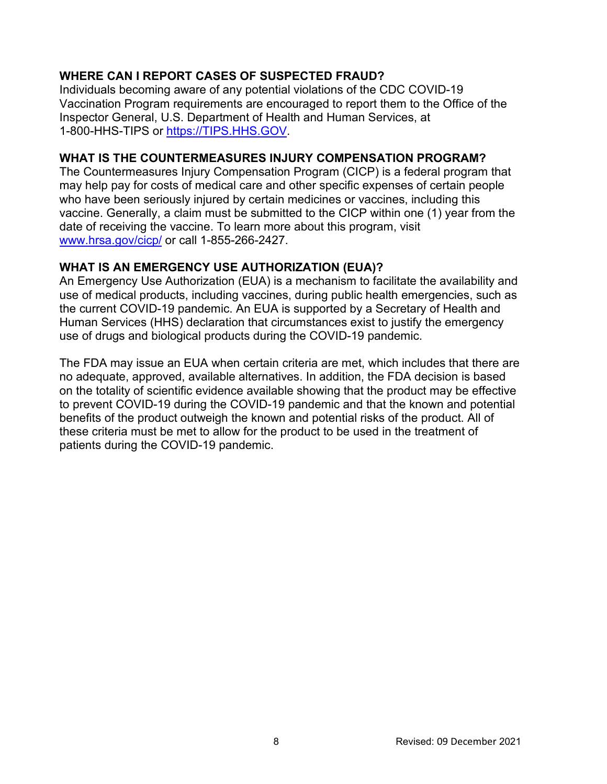# **WHERE CAN I REPORT CASES OF SUSPECTED FRAUD?**

Individuals becoming aware of any potential violations of the CDC COVID-19 Vaccination Program requirements are encouraged to report them to the Office of the Inspector General, U.S. Department of Health and Human Services, at 1-800-HHS-TIPS or [https://TIPS.HHS.GOV.](https://tips.hhs.gov/)

### **WHAT IS THE COUNTERMEASURES INJURY COMPENSATION PROGRAM?**

The Countermeasures Injury Compensation Program (CICP) is a federal program that may help pay for costs of medical care and other specific expenses of certain people who have been seriously injured by certain medicines or vaccines, including this vaccine. Generally, a claim must be submitted to the CICP within one (1) year from the date of receiving the vaccine. To learn more about this program, visit [www.hrsa.gov/cicp/](http://www.hrsa.gov/cicp/) or call 1-855-266-2427.

### **WHAT IS AN EMERGENCY USE AUTHORIZATION (EUA)?**

An Emergency Use Authorization (EUA) is a mechanism to facilitate the availability and use of medical products, including vaccines, during public health emergencies, such as the current COVID-19 pandemic. An EUA is supported by a Secretary of Health and Human Services (HHS) declaration that circumstances exist to justify the emergency use of drugs and biological products during the COVID-19 pandemic.

The FDA may issue an EUA when certain criteria are met, which includes that there are no adequate, approved, available alternatives. In addition, the FDA decision is based on the totality of scientific evidence available showing that the product may be effective to prevent COVID-19 during the COVID-19 pandemic and that the known and potential benefits of the product outweigh the known and potential risks of the product. All of these criteria must be met to allow for the product to be used in the treatment of patients during the COVID-19 pandemic.